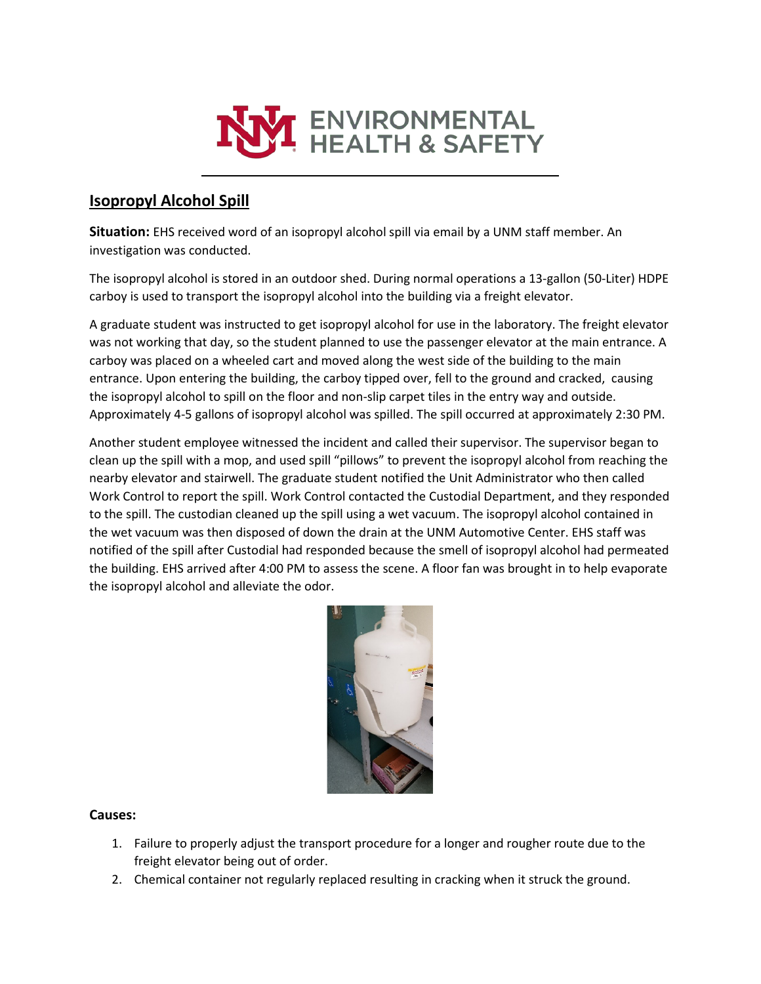

## **Isopropyl Alcohol Spill**

**Situation:** EHS received word of an isopropyl alcohol spill via email by a UNM staff member. An investigation was conducted.

The isopropyl alcohol is stored in an outdoor shed. During normal operations a 13-gallon (50-Liter) HDPE carboy is used to transport the isopropyl alcohol into the building via a freight elevator.

A graduate student was instructed to get isopropyl alcohol for use in the laboratory. The freight elevator was not working that day, so the student planned to use the passenger elevator at the main entrance. A carboy was placed on a wheeled cart and moved along the west side of the building to the main entrance. Upon entering the building, the carboy tipped over, fell to the ground and cracked, causing the isopropyl alcohol to spill on the floor and non-slip carpet tiles in the entry way and outside. Approximately 4-5 gallons of isopropyl alcohol was spilled. The spill occurred at approximately 2:30 PM.

Another student employee witnessed the incident and called their supervisor. The supervisor began to clean up the spill with a mop, and used spill "pillows" to prevent the isopropyl alcohol from reaching the nearby elevator and stairwell. The graduate student notified the Unit Administrator who then called Work Control to report the spill. Work Control contacted the Custodial Department, and they responded to the spill. The custodian cleaned up the spill using a wet vacuum. The isopropyl alcohol contained in the wet vacuum was then disposed of down the drain at the UNM Automotive Center. EHS staff was notified of the spill after Custodial had responded because the smell of isopropyl alcohol had permeated the building. EHS arrived after 4:00 PM to assess the scene. A floor fan was brought in to help evaporate the isopropyl alcohol and alleviate the odor.



## **Causes:**

- 1. Failure to properly adjust the transport procedure for a longer and rougher route due to the freight elevator being out of order.
- 2. Chemical container not regularly replaced resulting in cracking when it struck the ground.